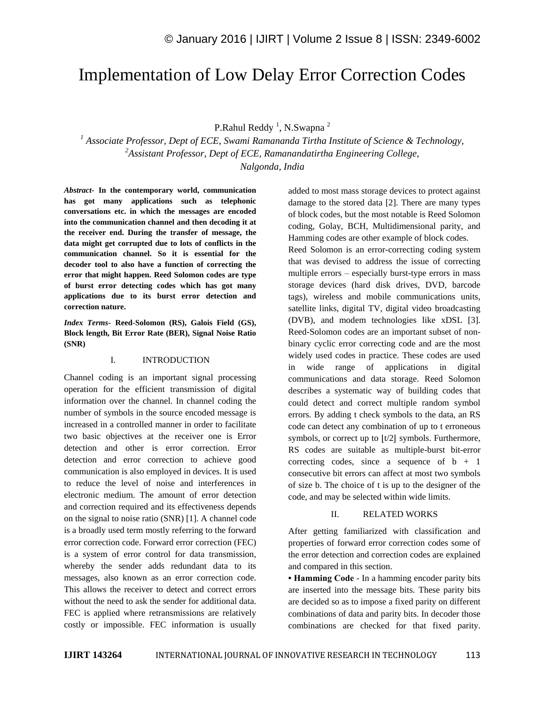# Implementation of Low Delay Error Correction Codes

P.Rahul Reddy<sup>1</sup>, N.Swapna<sup>2</sup>

*<sup>1</sup> Associate Professor, Dept of ECE, Swami Ramananda Tirtha Institute of Science & Technology, <sup>2</sup>Assistant Professor, Dept of ECE, Ramanandatirtha Engineering College, Nalgonda, India*

*Abstract-* **In the contemporary world, communication has got many applications such as telephonic conversations etc. in which the messages are encoded into the communication channel and then decoding it at the receiver end. During the transfer of message, the data might get corrupted due to lots of conflicts in the communication channel. So it is essential for the decoder tool to also have a function of correcting the error that might happen. Reed Solomon codes are type of burst error detecting codes which has got many applications due to its burst error detection and correction nature.**

*Index Terms-* **Reed-Solomon (RS), Galois Field (GS), Block length, Bit Error Rate (BER), Signal Noise Ratio (SNR)**

# I. INTRODUCTION

Channel coding is an important signal processing operation for the efficient transmission of digital information over the channel. In channel coding the number of symbols in the source encoded message is increased in a controlled manner in order to facilitate two basic objectives at the receiver one is Error detection and other is error correction. Error detection and error correction to achieve good communication is also employed in devices. It is used to reduce the level of noise and interferences in electronic medium. The amount of error detection and correction required and its effectiveness depends on the signal to noise ratio (SNR) [1]. A channel code is a broadly used term mostly referring to the forward error correction code. Forward error correction (FEC) is a system of error control for data transmission, whereby the sender adds redundant data to its messages, also known as an error correction code. This allows the receiver to detect and correct errors without the need to ask the sender for additional data. FEC is applied where retransmissions are relatively costly or impossible. FEC information is usually added to most mass storage devices to protect against damage to the stored data [2]. There are many types of block codes, but the most notable is Reed Solomon coding, Golay, BCH, Multidimensional parity, and Hamming codes are other example of block codes.

Reed Solomon is an error-correcting coding system that was devised to address the issue of correcting multiple errors – especially burst-type errors in mass storage devices (hard disk drives, DVD, barcode tags), wireless and mobile communications units, satellite links, digital TV, digital video broadcasting (DVB), and modem technologies like xDSL [3]. Reed-Solomon codes are an important subset of nonbinary cyclic error correcting code and are the most widely used codes in practice. These codes are used in wide range of applications in digital communications and data storage. Reed Solomon describes a systematic way of building codes that could detect and correct multiple random symbol errors. By adding t check symbols to the data, an RS code can detect any combination of up to t erroneous symbols, or correct up to  $|t/2|$  symbols. Furthermore, RS codes are suitable as multiple-burst bit-error correcting codes, since a sequence of  $b + 1$ consecutive bit errors can affect at most two symbols of size b. The choice of t is up to the designer of the code, and may be selected within wide limits.

# II. RELATED WORKS

After getting familiarized with classification and properties of forward error correction codes some of the error detection and correction codes are explained and compared in this section.

**• Hamming Code** - In a hamming encoder parity bits are inserted into the message bits. These parity bits are decided so as to impose a fixed parity on different combinations of data and parity bits. In decoder those combinations are checked for that fixed parity.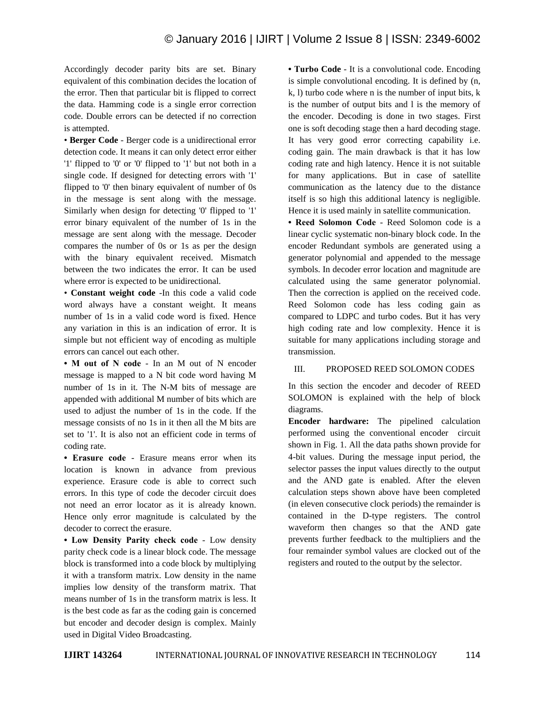Accordingly decoder parity bits are set. Binary equivalent of this combination decides the location of the error. Then that particular bit is flipped to correct the data. Hamming code is a single error correction code. Double errors can be detected if no correction is attempted.

• **Berger Code** - Berger code is a unidirectional error detection code. It means it can only detect error either '1' flipped to '0' or '0' flipped to '1' but not both in a single code. If designed for detecting errors with '1' flipped to '0' then binary equivalent of number of 0s in the message is sent along with the message. Similarly when design for detecting '0' flipped to '1' error binary equivalent of the number of 1s in the message are sent along with the message. Decoder compares the number of 0s or 1s as per the design with the binary equivalent received. Mismatch between the two indicates the error. It can be used where error is expected to be unidirectional.

• **Constant weight code** -In this code a valid code word always have a constant weight. It means number of 1s in a valid code word is fixed. Hence any variation in this is an indication of error. It is simple but not efficient way of encoding as multiple errors can cancel out each other.

**• M out of N code** - In an M out of N encoder message is mapped to a N bit code word having M number of 1s in it. The N-M bits of message are appended with additional M number of bits which are used to adjust the number of 1s in the code. If the message consists of no 1s in it then all the M bits are set to '1'. It is also not an efficient code in terms of coding rate.

**• Erasure code** - Erasure means error when its location is known in advance from previous experience. Erasure code is able to correct such errors. In this type of code the decoder circuit does not need an error locator as it is already known. Hence only error magnitude is calculated by the decoder to correct the erasure.

**• Low Density Parity check code** - Low density parity check code is a linear block code. The message block is transformed into a code block by multiplying it with a transform matrix. Low density in the name implies low density of the transform matrix. That means number of 1s in the transform matrix is less. It is the best code as far as the coding gain is concerned but encoder and decoder design is complex. Mainly used in Digital Video Broadcasting.

**• Turbo Code** - It is a convolutional code. Encoding is simple convolutional encoding. It is defined by (n, k, l) turbo code where n is the number of input bits, k is the number of output bits and l is the memory of the encoder. Decoding is done in two stages. First one is soft decoding stage then a hard decoding stage. It has very good error correcting capability i.e. coding gain. The main drawback is that it has low coding rate and high latency. Hence it is not suitable for many applications. But in case of satellite communication as the latency due to the distance itself is so high this additional latency is negligible. Hence it is used mainly in satellite communication.

**• Reed Solomon Code** - Reed Solomon code is a linear cyclic systematic non-binary block code. In the encoder Redundant symbols are generated using a generator polynomial and appended to the message symbols. In decoder error location and magnitude are calculated using the same generator polynomial. Then the correction is applied on the received code. Reed Solomon code has less coding gain as compared to LDPC and turbo codes. But it has very high coding rate and low complexity. Hence it is suitable for many applications including storage and transmission.

# III. PROPOSED REED SOLOMON CODES

In this section the encoder and decoder of REED SOLOMON is explained with the help of block diagrams.

**Encoder hardware:** The pipelined calculation performed using the conventional encoder circuit shown in Fig. 1. All the data paths shown provide for 4-bit values. During the message input period, the selector passes the input values directly to the output and the AND gate is enabled. After the eleven calculation steps shown above have been completed (in eleven consecutive clock periods) the remainder is contained in the D-type registers. The control waveform then changes so that the AND gate prevents further feedback to the multipliers and the four remainder symbol values are clocked out of the registers and routed to the output by the selector.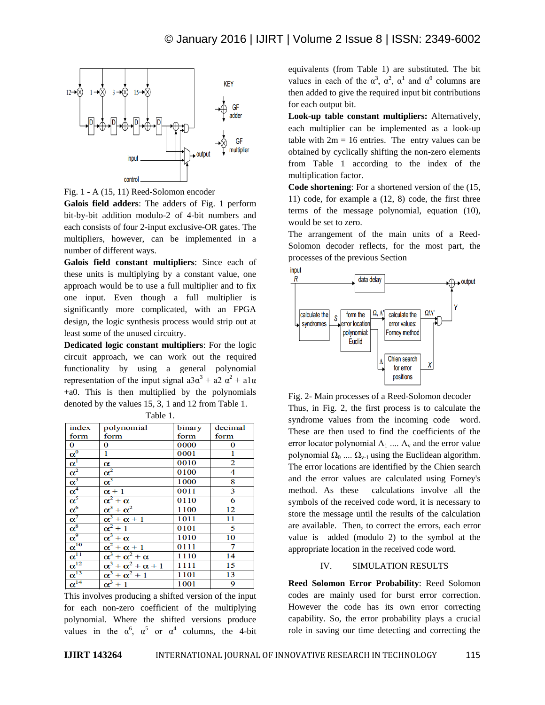



**Galois field adders**: The adders of Fig. 1 perform bit-by-bit addition modulo-2 of 4-bit numbers and each consists of four 2-input exclusive-OR gates. The multipliers, however, can be implemented in a number of different ways.

**Galois field constant multipliers**: Since each of these units is multiplying by a constant value, one approach would be to use a full multiplier and to fix one input. Even though a full multiplier is significantly more complicated, with an FPGA design, the logic synthesis process would strip out at least some of the unused circuitry.

**Dedicated logic constant multipliers**: For the logic circuit approach, we can work out the required functionality by using a general polynomial representation of the input signal  $a3\alpha^3 + a2\alpha^2 + a1\alpha$ +a0. This is then multiplied by the polynomials denoted by the values 15, 3, 1 and 12 from Table 1.

| index                                  | polynomial                         | binary | decimal                 |
|----------------------------------------|------------------------------------|--------|-------------------------|
| form                                   | form                               | form   | form                    |
| $\bf{0}$                               | 0                                  | 0000   | $\bf{0}$                |
|                                        | 1                                  | 0001   | 1                       |
|                                        | α                                  | 0010   | $\overline{2}$          |
| $\frac{\overline{\alpha}^0}{\alpha^1}$ | $\alpha^2$                         | 0100   | $\overline{4}$          |
| $\alpha^3$                             | $\alpha^3$                         | 1000   | $\overline{\mathbf{8}}$ |
| $\alpha^4$                             | $\alpha + 1$                       | 0011   | $\overline{\mathbf{3}}$ |
|                                        | $\alpha^2 + \alpha$                | 0110   | 6                       |
| $\frac{\alpha^5}{\alpha^6}$            | $\alpha^3 + \alpha^2$              | 1100   | 12                      |
| $\alpha^7$                             | $\alpha^3 + \alpha + 1$            | 1011   | 11                      |
| $\alpha^8$                             | $\alpha^2+1$                       | 0101   | 5                       |
|                                        | $\alpha^3 + \alpha$                | 1010   | 10                      |
| $\frac{\alpha^9}{\alpha^{10}}$         | $\alpha^2 + \alpha + 1$            | 0111   | 7                       |
| $\frac{1}{\underline{\alpha}^{11}}$    | $\alpha^3 + \alpha^2 + \alpha$     | 1110   | 14                      |
| $\alpha^{12}$                          | $\alpha^3 + \alpha^2 + \alpha + 1$ | 1111   | 15                      |
| $\alpha^{13}$                          | $\alpha^3 + \alpha^2 + 1$          | 1101   | 13                      |
| $\alpha^{14}$                          | $\alpha^3+1$                       | 1001   | 9                       |

This involves producing a shifted version of the input for each non-zero coefficient of the multiplying polynomial. Where the shifted versions produce values in the  $\alpha^6$ ,  $\alpha^5$  or  $\alpha^4$  columns, the 4-bit equivalents (from Table 1) are substituted. The bit values in each of the  $\alpha^3$ ,  $\alpha^2$ ,  $\alpha^1$  and  $\alpha^0$  columns are then added to give the required input bit contributions for each output bit.

**Look-up table constant multipliers:** Alternatively, each multiplier can be implemented as a look-up table with  $2m = 16$  entries. The entry values can be obtained by cyclically shifting the non-zero elements from Table 1 according to the index of the multiplication factor.

**Code shortening**: For a shortened version of the (15, 11) code, for example a (12, 8) code, the first three terms of the message polynomial, equation (10), would be set to zero.

The arrangement of the main units of a Reed-Solomon decoder reflects, for the most part, the processes of the previous Section



Fig. 2- Main processes of a Reed-Solomon decoder Thus, in Fig. 2, the first process is to calculate the syndrome values from the incoming code word. These are then used to find the coefficients of the error locator polynomial  $\Lambda_1$  ....  $\Lambda_{\rm v}$  and the error value polynomial  $\Omega_0$  ....  $\Omega_{v-1}$  using the Euclidean algorithm. The error locations are identified by the Chien search and the error values are calculated using Forney's method. As these calculations involve all the symbols of the received code word, it is necessary to store the message until the results of the calculation are available. Then, to correct the errors, each error value is added (modulo 2) to the symbol at the appropriate location in the received code word.

#### IV. SIMULATION RESULTS

**Reed Solomon Error Probability**: Reed Solomon codes are mainly used for burst error correction. However the code has its own error correcting capability. So, the error probability plays a crucial role in saving our time detecting and correcting the